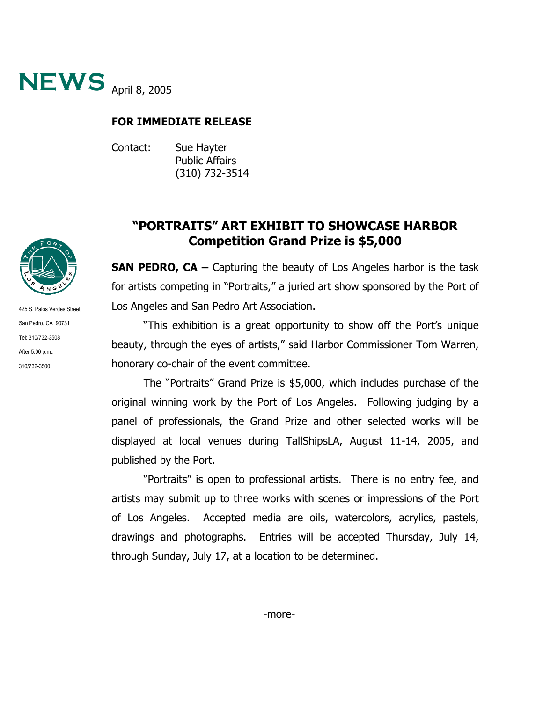

## **FOR IMMEDIATE RELEASE**

Contact: Sue Hayter Public Affairs (310) 732-3514

## **"PORTRAITS" ART EXHIBIT TO SHOWCASE HARBOR Competition Grand Prize is \$5,000**

**SAN PEDRO, CA –** Capturing the beauty of Los Angeles harbor is the task for artists competing in "Portraits," a juried art show sponsored by the Port of Los Angeles and San Pedro Art Association.

"This exhibition is a great opportunity to show off the Port's unique beauty, through the eyes of artists," said Harbor Commissioner Tom Warren, honorary co-chair of the event committee.

The "Portraits" Grand Prize is \$5,000, which includes purchase of the original winning work by the Port of Los Angeles. Following judging by a panel of professionals, the Grand Prize and other selected works will be displayed at local venues during TallShipsLA, August 11-14, 2005, and published by the Port.

"Portraits" is open to professional artists. There is no entry fee, and artists may submit up to three works with scenes or impressions of the Port of Los Angeles. Accepted media are oils, watercolors, acrylics, pastels, drawings and photographs. Entries will be accepted Thursday, July 14, through Sunday, July 17, at a location to be determined.



425 S. Palos Verdes Street San Pedro, CA 90731 Tel: 310/732-3508 After 5:00 p.m.: 310/732-3500